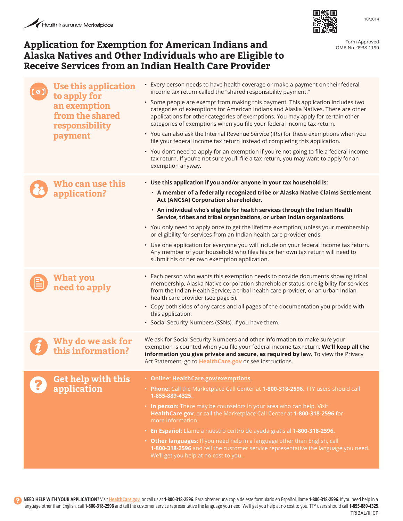## Application for Exemption for American Indians and **Application for Exemption for Approved Alaska Natives and Other Individuals who are Eligible to Receive Services from an Indian Health Care Provider**



OMB No. 0938-1190

10/2014

| <b>Use this application</b><br>to apply for<br>an exemption<br>from the shared<br>responsibility<br>payment | • Every person needs to have health coverage or make a payment on their federal<br>income tax return called the "shared responsibility payment."<br>• Some people are exempt from making this payment. This application includes two<br>categories of exemptions for American Indians and Alaska Natives. There are other<br>applications for other categories of exemptions. You may apply for certain other<br>categories of exemptions when you file your federal income tax return.<br>• You can also ask the Internal Revenue Service (IRS) for these exemptions when you<br>file your federal income tax return instead of completing this application.<br>• You don't need to apply for an exemption if you're not going to file a federal income<br>tax return. If you're not sure you'll file a tax return, you may want to apply for an<br>exemption anyway. |
|-------------------------------------------------------------------------------------------------------------|------------------------------------------------------------------------------------------------------------------------------------------------------------------------------------------------------------------------------------------------------------------------------------------------------------------------------------------------------------------------------------------------------------------------------------------------------------------------------------------------------------------------------------------------------------------------------------------------------------------------------------------------------------------------------------------------------------------------------------------------------------------------------------------------------------------------------------------------------------------------|
| Who can use this<br>application?                                                                            | · Use this application if you and/or anyone in your tax household is:<br>· A member of a federally recognized tribe or Alaska Native Claims Settlement<br>Act (ANCSA) Corporation shareholder.<br>· An individual who's eligible for health services through the Indian Health<br>Service, tribes and tribal organizations, or urban Indian organizations.<br>• You only need to apply once to get the lifetime exemption, unless your membership<br>or eligibility for services from an Indian health care provider ends.<br>• Use one application for everyone you will include on your federal income tax return.<br>Any member of your household who files his or her own tax return will need to<br>submit his or her own exemption application.                                                                                                                  |
| What you<br>need to apply                                                                                   | • Each person who wants this exemption needs to provide documents showing tribal<br>membership, Alaska Native corporation shareholder status, or eligibility for services<br>from the Indian Health Service, a tribal health care provider, or an urban Indian<br>health care provider (see page 5).<br>• Copy both sides of any cards and all pages of the documentation you provide with<br>this application.<br>• Social Security Numbers (SSNs), if you have them.                                                                                                                                                                                                                                                                                                                                                                                                 |
| Why do we ask for<br>this information?                                                                      | We ask for Social Security Numbers and other information to make sure your<br>exemption is counted when you file your federal income tax return. We'll keep all the<br>information you give private and secure, as required by law. To view the Privacy<br>Act Statement, go to HealthCare.gov or see instructions.                                                                                                                                                                                                                                                                                                                                                                                                                                                                                                                                                    |
| <b>Get help with this</b><br>application                                                                    | · Online: HealthCare.gov/exemptions.<br>. Phone: Call the Marketplace Call Center at 1-800-318-2596. TTY users should call<br>1-855-889-4325.<br>• In person: There may be counselors in your area who can help. Visit<br>HealthCare.gov, or call the Marketplace Call Center at 1-800-318-2596 for<br>more information.<br>• En Español: Llame a nuestro centro de ayuda gratis al 1-800-318-2596.<br>• Other languages: If you need help in a language other than English, call<br>1-800-318-2596 and tell the customer service representative the language you need.<br>We'll get you help at no cost to you.                                                                                                                                                                                                                                                       |

**NEED HELP WITH YOUR APPLICATION?** Visit **HealthCare.gov**, or call us at **1-800-318-2596**. Para obtener una copia de este formulario en Español, llame **1-800-318-2596**. If you need help in a language other than English, call **1-800-318-2596** and tell the customer service representative the language you need. We'll get you help at no cost to you. TTY users should call **1-855-889-4325**. TRIBAL/IHCP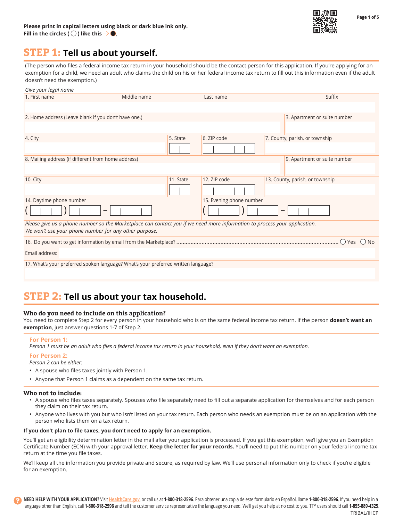

# **STEP 1: Tell us about yourself.**

(The person who files a federal income tax return in your household should be the contact person for this application. If you're applying for an exemption for a child, we need an adult who claims the child on his or her federal income tax return to fill out this information even if the adult doesn't need the exemption.)

| Give your legal name                                                                                                                                                               |                          |           |              |                                 |
|------------------------------------------------------------------------------------------------------------------------------------------------------------------------------------|--------------------------|-----------|--------------|---------------------------------|
| 1. First name                                                                                                                                                                      | Middle name              |           | Last name    | Suffix                          |
|                                                                                                                                                                                    |                          |           |              |                                 |
| 2. Home address (Leave blank if you don't have one.)                                                                                                                               |                          |           |              | 3. Apartment or suite number    |
|                                                                                                                                                                                    |                          |           |              |                                 |
| 4. City                                                                                                                                                                            |                          | 5. State  | 6. ZIP code  | 7. County, parish, or township  |
|                                                                                                                                                                                    |                          |           |              |                                 |
| 8. Mailing address (if different from home address)                                                                                                                                |                          |           |              | 9. Apartment or suite number    |
|                                                                                                                                                                                    |                          |           |              |                                 |
| 10. City                                                                                                                                                                           |                          | 11. State | 12. ZIP code | 13. County, parish, or township |
|                                                                                                                                                                                    |                          |           |              |                                 |
| 14. Daytime phone number                                                                                                                                                           | 15. Evening phone number |           |              |                                 |
|                                                                                                                                                                                    |                          |           |              | -                               |
| Please give us a phone number so the Marketplace can contact you if we need more information to process your application.<br>We won't use your phone number for any other purpose. |                          |           |              |                                 |
|                                                                                                                                                                                    |                          |           |              |                                 |
|                                                                                                                                                                                    |                          |           |              |                                 |
| Email address:                                                                                                                                                                     |                          |           |              |                                 |
| 17. What's your preferred spoken language? What's your preferred written language?                                                                                                 |                          |           |              |                                 |
|                                                                                                                                                                                    |                          |           |              |                                 |
|                                                                                                                                                                                    |                          |           |              |                                 |

# **STEP 2: Tell us about your tax household.**

### **Who do you need to include on this application?**

You need to complete Step 2 for every person in your household who is on the same federal income tax return. If the person **doesn't want an exemption**, just answer questions 1-7 of Step 2.

#### **For Person 1:**

*Person 1 must be an adult who files a federal income tax return in your household, even if they don't want an exemption.* 

#### **For Person 2:**

*Person 2 can be either:* 

- • A spouse who files taxes jointly with Person 1.
- • Anyone that Person 1 claims as a dependent on the same tax return.

#### **Who not to include:**

- • A spouse who files taxes separately. Spouses who file separately need to fill out a separate application for themselves and for each person they claim on their tax return.
- • Anyone who lives with you but who isn't listed on your tax return. Each person who needs an exemption must be on an application with the person who lists them on a tax return.

#### **If you don't plan to file taxes, you don't need to apply for an exemption.**

You'll get an eligibility determination letter in the mail after your application is processed. If you get this exemption, we'll give you an Exemption Certificate Number (ECN) with your approval letter. **Keep the letter for your records.** You'll need to put this number on your federal income tax return at the time you file taxes.

We'll keep all the information you provide private and secure, as required by law. We'll use personal information only to check if you're eligible for an exemption.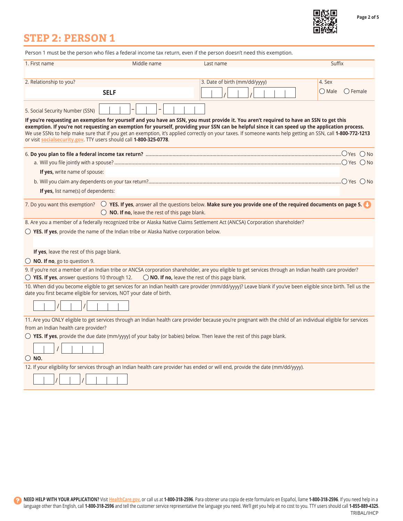

**Page 2 of 5** 

# **STEP 2: PERSON 1**

|                                                         |                                                                                                  | Person 1 must be the person who files a federal income tax return, even if the person doesn't need this exemption.                                                                                                                                                                                                                                                                                                                                        |                               |
|---------------------------------------------------------|--------------------------------------------------------------------------------------------------|-----------------------------------------------------------------------------------------------------------------------------------------------------------------------------------------------------------------------------------------------------------------------------------------------------------------------------------------------------------------------------------------------------------------------------------------------------------|-------------------------------|
| 1. First name                                           | Middle name                                                                                      | Last name                                                                                                                                                                                                                                                                                                                                                                                                                                                 | Suffix                        |
|                                                         |                                                                                                  |                                                                                                                                                                                                                                                                                                                                                                                                                                                           |                               |
| 2. Relationship to you?                                 |                                                                                                  | 3. Date of birth (mm/dd/yyyy)                                                                                                                                                                                                                                                                                                                                                                                                                             | 4. Sex                        |
|                                                         | <b>SELF</b>                                                                                      |                                                                                                                                                                                                                                                                                                                                                                                                                                                           | $\bigcirc$ Female<br>( ) Male |
| 5. Social Security Number (SSN)                         |                                                                                                  |                                                                                                                                                                                                                                                                                                                                                                                                                                                           |                               |
|                                                         | or visit socialsecurity.gov. TTY users should call 1-800-325-0778.                               | If you're requesting an exemption for yourself and you have an SSN, you must provide it. You aren't required to have an SSN to get this<br>exemption. If you're not requesting an exemption for yourself, providing your SSN can be helpful since it can speed up the application process.<br>We use SSNs to help make sure that if you get an exemption, it's applied correctly on your taxes. If someone wants help getting an SSN, call 1-800-772-1213 |                               |
|                                                         |                                                                                                  |                                                                                                                                                                                                                                                                                                                                                                                                                                                           |                               |
|                                                         |                                                                                                  |                                                                                                                                                                                                                                                                                                                                                                                                                                                           |                               |
| If yes, write name of spouse:                           |                                                                                                  |                                                                                                                                                                                                                                                                                                                                                                                                                                                           |                               |
|                                                         |                                                                                                  |                                                                                                                                                                                                                                                                                                                                                                                                                                                           |                               |
| If yes, list name(s) of dependents:                     |                                                                                                  |                                                                                                                                                                                                                                                                                                                                                                                                                                                           |                               |
|                                                         | $\bigcirc$ NO. If no, leave the rest of this page blank.                                         | 7. Do you want this exemption? $\bigcirc$ YES. If yes, answer all the questions below. Make sure you provide one of the required documents on page 5.                                                                                                                                                                                                                                                                                                     |                               |
|                                                         |                                                                                                  | 8. Are you a member of a federally recognized tribe or Alaska Native Claims Settlement Act (ANCSA) Corporation shareholder?                                                                                                                                                                                                                                                                                                                               |                               |
|                                                         | $\bigcirc$ YES. If yes, provide the name of the Indian tribe or Alaska Native corporation below. |                                                                                                                                                                                                                                                                                                                                                                                                                                                           |                               |
| If yes, leave the rest of this page blank.              |                                                                                                  |                                                                                                                                                                                                                                                                                                                                                                                                                                                           |                               |
| $\bigcirc$ NO. If no, go to question 9.                 |                                                                                                  |                                                                                                                                                                                                                                                                                                                                                                                                                                                           |                               |
| $\bigcirc$ YES. If yes, answer questions 10 through 12. |                                                                                                  | 9. If you're not a member of an Indian tribe or ANCSA corporation shareholder, are you eligible to get services through an Indian health care provider?<br>$\bigcirc$ NO. If no, leave the rest of this page blank.                                                                                                                                                                                                                                       |                               |
|                                                         | date you first became eligible for services, NOT your date of birth.                             | 10. When did you become eligible to get services for an Indian health care provider (mm/dd/yyyy)? Leave blank if you've been eligible since birth. Tell us the                                                                                                                                                                                                                                                                                            |                               |
|                                                         |                                                                                                  | 11. Are you ONLY eligible to get services through an Indian health care provider because you're pregnant with the child of an individual eligible for services                                                                                                                                                                                                                                                                                            |                               |
| from an Indian health care provider?                    |                                                                                                  |                                                                                                                                                                                                                                                                                                                                                                                                                                                           |                               |
|                                                         |                                                                                                  | $\bigcirc$ YES. If yes, provide the due date (mm/yyyy) of your baby (or babies) below. Then leave the rest of this page blank.                                                                                                                                                                                                                                                                                                                            |                               |
|                                                         |                                                                                                  |                                                                                                                                                                                                                                                                                                                                                                                                                                                           |                               |
| $\bigcirc$ NO.                                          |                                                                                                  |                                                                                                                                                                                                                                                                                                                                                                                                                                                           |                               |
|                                                         |                                                                                                  | 12. If your eligibility for services through an Indian health care provider has ended or will end, provide the date (mm/dd/yyyy).                                                                                                                                                                                                                                                                                                                         |                               |
|                                                         |                                                                                                  |                                                                                                                                                                                                                                                                                                                                                                                                                                                           |                               |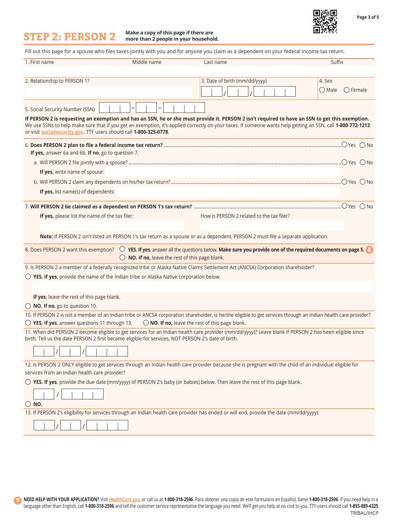**Page 3 of 5** 

œ

**Make a copy of this page if there are STEP 2: PERSON 2 more than 2 people in your household.** 

|                                                                                                    |                                                          | Fill out this page for a spouse who files taxes jointly with you and for anyone you claim as a dependent on your federal income tax return.                                                                                                                                                                    |                                      |
|----------------------------------------------------------------------------------------------------|----------------------------------------------------------|----------------------------------------------------------------------------------------------------------------------------------------------------------------------------------------------------------------------------------------------------------------------------------------------------------------|--------------------------------------|
| 1. First name                                                                                      | Middle name                                              | Last name                                                                                                                                                                                                                                                                                                      | Suffix                               |
|                                                                                                    |                                                          |                                                                                                                                                                                                                                                                                                                |                                      |
| 2. Relationship to PERSON 1?                                                                       |                                                          | 3. Date of birth (mm/dd/yyyy)                                                                                                                                                                                                                                                                                  | 4. Sex                               |
|                                                                                                    |                                                          |                                                                                                                                                                                                                                                                                                                | $\bigcirc$ Female<br>$\bigcirc$ Male |
| 5. Social Security Number (SSN)                                                                    |                                                          |                                                                                                                                                                                                                                                                                                                |                                      |
| or visit socialsecurity.gov. TTY users should call 1-800-325-0778.                                 |                                                          | If PERSON 2 is requesting an exemption and has an SSN, he or she must provide it. PERSON 2 isn't required to have an SSN to get this exemption.<br>We use SSNs to help make sure that if you get an exemption, it's applied correctly on your taxes. If someone wants help getting an SSN, call 1-800-772-1213 |                                      |
| If yes, answer 6a and 6b. If no, go to question 7.                                                 |                                                          |                                                                                                                                                                                                                                                                                                                |                                      |
|                                                                                                    |                                                          |                                                                                                                                                                                                                                                                                                                |                                      |
| If yes, write name of spouse:                                                                      |                                                          |                                                                                                                                                                                                                                                                                                                |                                      |
|                                                                                                    |                                                          |                                                                                                                                                                                                                                                                                                                |                                      |
| If yes, list name(s) of dependents:                                                                |                                                          |                                                                                                                                                                                                                                                                                                                |                                      |
|                                                                                                    |                                                          |                                                                                                                                                                                                                                                                                                                |                                      |
|                                                                                                    |                                                          |                                                                                                                                                                                                                                                                                                                |                                      |
| If yes, please list the name of the tax filer:                                                     |                                                          | How is PERSON 2 related to the tax filer?                                                                                                                                                                                                                                                                      |                                      |
|                                                                                                    |                                                          |                                                                                                                                                                                                                                                                                                                |                                      |
|                                                                                                    |                                                          | Note: If PERSON 2 isn't listed on PERSON 1's tax return as a spouse or as a dependent, PERSON 2 must file a separate application.                                                                                                                                                                              |                                      |
|                                                                                                    | $\bigcirc$ NO. If no, leave the rest of this page blank. | 8. Does PERSON 2 want this exemption? $\bigcirc$ YES. If yes, answer all the questions below. Make sure you provide one of the required documents on page 5.                                                                                                                                                   |                                      |
|                                                                                                    |                                                          | 9. Is PERSON 2 a member of a federally recognized tribe or Alaska Native Claims Settlement Act (ANCSA) Corporation shareholder?                                                                                                                                                                                |                                      |
| $\bigcirc$ YES. If yes, provide the name of the Indian tribe or Alaska Native corporation below.   |                                                          |                                                                                                                                                                                                                                                                                                                |                                      |
|                                                                                                    |                                                          |                                                                                                                                                                                                                                                                                                                |                                      |
| If yes, leave the rest of this page blank.                                                         |                                                          |                                                                                                                                                                                                                                                                                                                |                                      |
| $\bigcirc$ NO. If no, go to question 10.                                                           |                                                          |                                                                                                                                                                                                                                                                                                                |                                      |
|                                                                                                    |                                                          | 10. If PERSON 2 is not a member of an Indian tribe or ANCSA corporation shareholder, is he/she eligible to get services through an Indian health care provider?                                                                                                                                                |                                      |
| $\bigcirc$ YES. If yes, answer questions 11 through 13.                                            |                                                          | $\bigcirc$ NO. If no, leave the rest of this page blank.                                                                                                                                                                                                                                                       |                                      |
| birth. Tell us the date PERSON 2 first became eligible for services, NOT PERSON 2's date of birth. |                                                          | 11. When did PERSON 2 become eligible to get services for an Indian health care provider (mm/dd/yyyy)? Leave blank if PERSON 2 has been eligible since                                                                                                                                                         |                                      |
|                                                                                                    |                                                          |                                                                                                                                                                                                                                                                                                                |                                      |
|                                                                                                    |                                                          | 12. Is PERSON 2 ONLY eligible to get services through an Indian health care provider because she is pregnant with the child of an individual eligible for                                                                                                                                                      |                                      |
| services from an Indian health care provider?                                                      |                                                          |                                                                                                                                                                                                                                                                                                                |                                      |
|                                                                                                    |                                                          | $\bigcirc$ YES. If yes, provide the due date (mm/yyyy) of PERSON 2's baby (or babies) below. Then leave the rest of this page blank.                                                                                                                                                                           |                                      |
|                                                                                                    |                                                          |                                                                                                                                                                                                                                                                                                                |                                      |
| $\bigcirc$ NO.                                                                                     |                                                          |                                                                                                                                                                                                                                                                                                                |                                      |
|                                                                                                    |                                                          | 13. If PERSON 2's eligibility for services through an Indian health care provider has ended or will end, provide the date (mm/dd/yyyy).                                                                                                                                                                        |                                      |
|                                                                                                    |                                                          |                                                                                                                                                                                                                                                                                                                |                                      |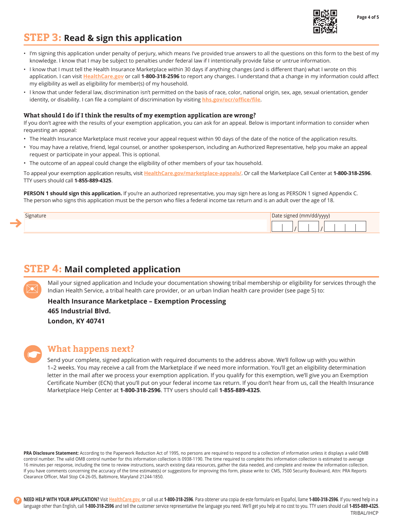

**Page 4 of 5** 

# **STEP 3: Read & sign this application**

- • I'm signing this application under penalty of perjury, which means I've provided true answers to all the questions on this form to the best of my knowledge. I know that I may be subject to penalties under federal law if I intentionally provide false or untrue information.
- I know that I must tell the Health Insurance Marketplace within 30 days if anything changes (and is different than) what I wrote on this application. I can visit **[HealthCare.gov](http://www.healthcare.gov)** or call **1-800-318-2596** to report any changes. I understand that a change in my information could affect my eligibility as well as eligibility for member(s) of my household.
- I know that under federal law, discrimination isn't permitted on the basis of race, color, national origin, sex, age, sexual orientation, gender identity, or disability. I can file a complaint of discrimination by visiting **[hhs.gov/ocr/office/file](http://www.hhs.gov/ocr/office/file)**.

### **What should I do if I think the results of my exemption application are wrong?**

If you don't agree with the results of your exemption application, you can ask for an appeal. Below is important information to consider when requesting an appeal:

- The Health Insurance Marketplace must receive your appeal request within 90 days of the date of the notice of the application results.
- • You may have a relative, friend, legal counsel, or another spokesperson, including an Authorized Representative, help you make an appeal request or participate in your appeal. This is optional.
- • The outcome of an appeal could change the eligibility of other members of your tax household.

To appeal your exemption application results, visit **[HealthCare.gov/marketplace-appeals/](http://www.healthcare.gov)**. Or call the Marketplace Call Center at **1-800-318-2596**. TTY users should call **1-855-889-4325**.

**PERSON 1 should sign this application.** If you're an authorized representative, you may sign here as long as PERSON 1 signed Appendix C. The person who signs this application must be the person who files a federal income tax return and is an adult over the age of 18.

| Signature | Date signed (mm/dd/yyyy) |
|-----------|--------------------------|
|           |                          |

# **STEP 4: Mail completed application**

Mail your signed application and Include your documentation showing tribal membership or eligibility for services through the Indian Health Service, a tribal health care provider, or an urban Indian health care provider (see page 5) to:

**Health Insurance Marketplace – Exemption Processing 465 Industrial Blvd. London, KY 40741** 

## **What happens next?**

Send your complete, signed application with required documents to the address above. We'll follow up with you within 1–2 weeks. You may receive a call from the Marketplace if we need more information. You'll get an eligibility determination letter in the mail after we process your exemption application. If you qualify for this exemption, we'll give you an Exemption Certificate Number (ECN) that you'll put on your federal income tax return. If you don't hear from us, call the Health Insurance Marketplace Help Center at **1-800-318-2596**. TTY users should call **1-855-889-4325**.

PRA Disclosure Statement: According to the Paperwork Reduction Act of 1995, no persons are required to respond to a collection of information unless it displays a valid OMB control number. The valid OMB control number for this information collection is 0938-1190. The time required to complete this information collection is estimated to average 16 minutes per response, including the time to review instructions, search existing data resources, gather the data needed, and complete and review the information collection. If you have comments concerning the accuracy of the time estimate(s) or suggestions for improving this form, please write to: CMS, 7500 Security Boulevard, Attn: PRA Reports Clearance Officer, Mail Stop C4-26-05, Baltimore, Maryland 21244-1850.

**NEED HELP WITH YOUR APPLICATION?** Visit **HealthCare.gov**, or call us at **1-800-318-2596**. Para obtener una copia de este formulario en Español, llame **1-800-318-2596**. If you need help in a language other than English, call **1-800-318-2596** and tell the customer service representative the language you need. We'll get you help at no cost to you. TTY users should call **1-855-889-4325**.

TRIBAL/IHCP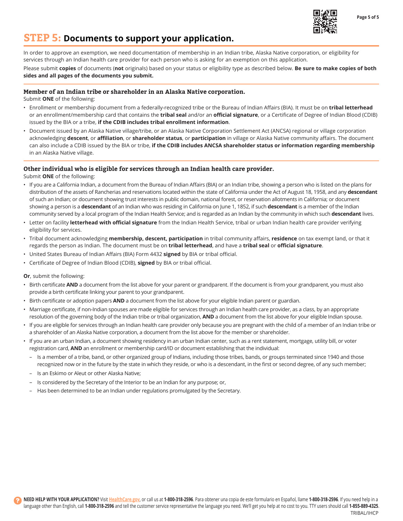

**Page 5 of 5** 

## **STEP 5: Documents to support your application.**

In order to approve an exemption, we need documentation of membership in an Indian tribe, Alaska Native corporation, or eligibility for services through an Indian health care provider for each person who is asking for an exemption on this application.

Please submit **copies** of documents (**not** originals) based on your status or eligibility type as described below. **Be sure to make copies of both sides and all pages of the documents you submit.**

#### **Member of an Indian tribe or shareholder in an Alaska Native corporation.**

Submit **ONE** of the following:

- • Enrollment or membership document from a federally-recognized tribe or the Bureau of Indian Affairs (BIA). It must be on **tribal letterhead**  or an enrollment/membership card that contains the **tribal seal** and/or an **official signature**, or a Certificate of Degree of Indian Blood (CDIB) issued by the BIA or a tribe, **if the CDIB includes tribal enrollment information**.
- • Document issued by an Alaska Native village/tribe, or an Alaska Native Corporation Settlement Act (ANCSA) regional or village corporation acknowledging **descent**, or **affiliation**, or **shareholder status**, or **participation** in village or Alaska Native community affairs. The document can also include a CDIB issued by the BIA or tribe, **if the CDIB includes ANCSA shareholder status or information regarding membership**  in an Alaska Native village.

#### **Other individual who is eligible for services through an Indian health care provider.**

Submit **ONE** of the following:

- • If you are a California Indian, a document from the Bureau of Indian Affairs (BIA) or an Indian tribe, showing a person who is listed on the plans for distribution of the assets of Rancherias and reservations located within the state of California under the Act of August 18, 1958, and any **descendant**  of such an Indian; or document showing trust interests in public domain, national forest, or reservation allotments in California; or document showing a person is a **descendant** of an Indian who was residing in California on June 1, 1852, if such **descendant** is a member of the Indian community served by a local program of the Indian Health Service; and is regarded as an Indian by the community in which such **descendant** lives.
- • Letter on facility **letterhead with official signature** from the Indian Health Service, tribal or urban Indian health care provider verifying eligibility for services.
- • Tribal document acknowledging **membership, descent, participation** in tribal community affairs, **residence** on tax exempt land, or that it regards the person as Indian. The document must be on **tribal letterhead**, and have a **tribal seal** or **official signature**.
- • United States Bureau of Indian Affairs (BIA) Form 4432 **signed** by BIA or tribal official.
- • Certificate of Degree of Indian Blood (CDIB), **signed** by BIA or tribal official.

**Or**, submit the following:

- Birth certificate **AND** a document from the list above for your parent or grandparent. If the document is from your grandparent, you must also provide a birth certificate linking your parent to your grandparent.
- • Birth certificate or adoption papers **AND** a document from the list above for your eligible Indian parent or guardian.
- Marriage certificate, if non-Indian spouses are made eligible for services through an Indian health care provider, as a class, by an appropriate resolution of the governing body of the Indian tribe or tribal organization, **AND** a document from the list above for your eligible Indian spouse.
- • If you are eligible for services through an Indian health care provider only because you are pregnant with the child of a member of an Indian tribe or a shareholder of an Alaska Native corporation, a document from the list above for the member or shareholder.
- • If you are an urban Indian, a document showing residency in an urban Indian center, such as a rent statement, mortgage, utility bill, or voter registration card, **AND** an enrollment or membership card/ID or document establishing that the individual:
	- Is a member of a tribe, band, or other organized group of Indians, including those tribes, bands, or groups terminated since 1940 and those recognized now or in the future by the state in which they reside, or who is a descendant, in the first or second degree, of any such member;
	- Is an Eskimo or Aleut or other Alaska Native;
	- Is considered by the Secretary of the Interior to be an Indian for any purpose; or,
	- Has been determined to be an Indian under regulations promulgated by the Secretary.